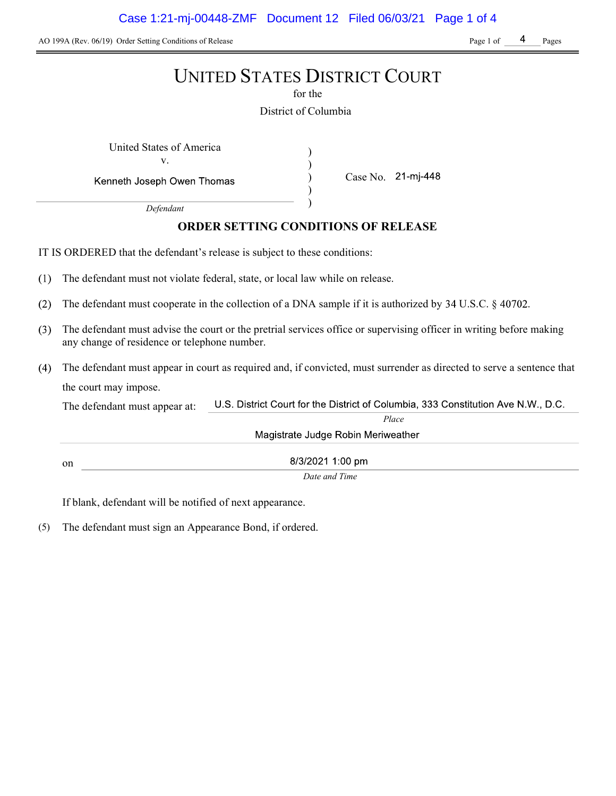AO 199A (Rev. 06/19) Order Setting Conditions of Release Page 1 of Page 1 of Page 1 of Pages

# UNITED STATES DISTRICT COURT

for the

District of Columbia

) ) ) )

United States of America (1992) v.

Kenneth Joseph Owen Thomas

Case No. 21-mj-448

Defendant

## ORDER SETTING CONDITIONS OF RELEASE

IT IS ORDERED that the defendant's release is subject to these conditions:

- $(1)$ The defendant must not violate federal, state, or local law while on release.
- $(2)$ The defendant must cooperate in the collection of a DNA sample if it is authorized by  $34 \text{ U.S.C.}$   $\S$  40702.
- The defendant must advise the court or the pretrial services office or supervising officer in writing before making  $(3)$ any change of residence or telephone number.
- The defendant must appear in court as required and, if convicted, must surrender as directed to serve a sentence that the court may impose.

U.S. District Court for the District of Columbia, 333 Constitution Ave N.W., D.C. The defendant must appear at: Place Magistrate Judge Robin Meriweather

8/3/2021 1:00 pm on

Date and Time

If blank, defendant will be notified of next appearance.

(5) The defendant must sign an Appearance Bond, if ordered.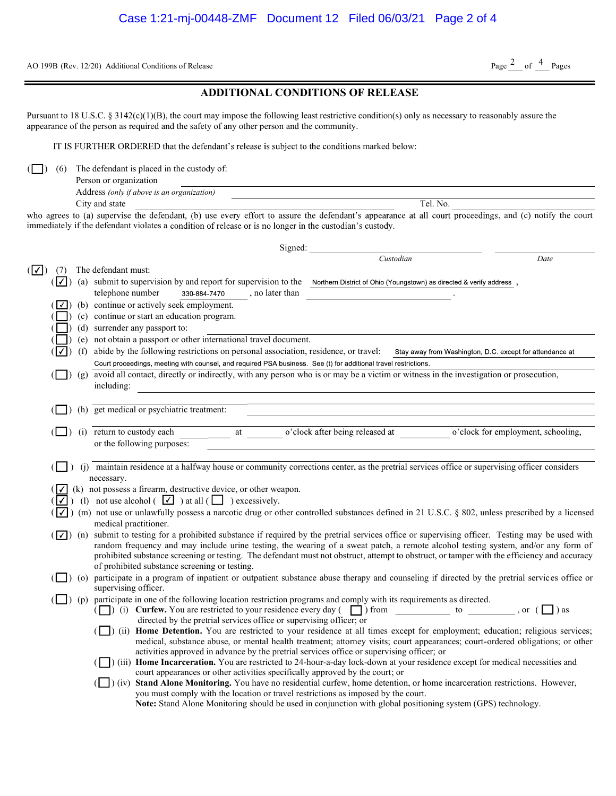AO 199B (Rev. 12/20) Additional Conditions of Release

## Page  $2$  of  $4$  Pages

|  | <b>ADDITIONAL CONDITIONS OF RELEASE</b> |  |
|--|-----------------------------------------|--|
|--|-----------------------------------------|--|

Pursuant to 18 U.S.C. § 3142(c)(1)(B), the court may impose the following least restrictive condition(s) only as necessary to reasonably assure the appearance of the person as required and the safety of any other person and the community.

IT IS FURTHER ORDERED that the defendant's release is subject to the conditions marked below:

 $\Box$ ) (6) The defendant is placed in the custody of:

| Person or organization                     |     |
|--------------------------------------------|-----|
| Address (only if above is an organization) |     |
| $City$ and state                           | No. |

who agrees to (a) supervise the defendant, (b) use every effort to assure the defendant's appearance at all court proceedings, and (c) notify the court immediately if the defendant violates a condition of release or is no longer in the custodian's custody.

|            |            |                                                                                                                                                                                                     | Signed:                                                                                                                                                                                                                                                                                                   |                                 |  |                                                          |  |
|------------|------------|-----------------------------------------------------------------------------------------------------------------------------------------------------------------------------------------------------|-----------------------------------------------------------------------------------------------------------------------------------------------------------------------------------------------------------------------------------------------------------------------------------------------------------|---------------------------------|--|----------------------------------------------------------|--|
|            |            |                                                                                                                                                                                                     |                                                                                                                                                                                                                                                                                                           | Custodian                       |  | Date                                                     |  |
| $( \vee )$ | (7)        |                                                                                                                                                                                                     | The defendant must:                                                                                                                                                                                                                                                                                       |                                 |  |                                                          |  |
|            | $(\nabla)$ |                                                                                                                                                                                                     | (a) submit to supervision by and report for supervision to the Northern District of Ohio (Youngstown) as directed & verify address,                                                                                                                                                                       |                                 |  |                                                          |  |
|            |            |                                                                                                                                                                                                     | telephone number<br>, no later than<br>330-884-7470                                                                                                                                                                                                                                                       |                                 |  |                                                          |  |
|            |            |                                                                                                                                                                                                     | (b) continue or actively seek employment.                                                                                                                                                                                                                                                                 |                                 |  |                                                          |  |
|            |            |                                                                                                                                                                                                     | (c) continue or start an education program.                                                                                                                                                                                                                                                               |                                 |  |                                                          |  |
|            |            |                                                                                                                                                                                                     | (d) surrender any passport to:                                                                                                                                                                                                                                                                            |                                 |  |                                                          |  |
|            |            |                                                                                                                                                                                                     | (e) not obtain a passport or other international travel document.                                                                                                                                                                                                                                         |                                 |  |                                                          |  |
|            |            | (f)                                                                                                                                                                                                 | abide by the following restrictions on personal association, residence, or travel:                                                                                                                                                                                                                        |                                 |  | Stay away from Washington, D.C. except for attendance at |  |
|            |            |                                                                                                                                                                                                     | Court proceedings, meeting with counsel, and required PSA business. See (t) for additional travel restrictions.                                                                                                                                                                                           |                                 |  |                                                          |  |
|            |            |                                                                                                                                                                                                     | (g) avoid all contact, directly or indirectly, with any person who is or may be a victim or witness in the investigation or prosecution,                                                                                                                                                                  |                                 |  |                                                          |  |
|            |            |                                                                                                                                                                                                     | including:                                                                                                                                                                                                                                                                                                |                                 |  |                                                          |  |
|            |            |                                                                                                                                                                                                     | (h) get medical or psychiatric treatment:                                                                                                                                                                                                                                                                 |                                 |  |                                                          |  |
|            |            |                                                                                                                                                                                                     |                                                                                                                                                                                                                                                                                                           |                                 |  |                                                          |  |
|            |            |                                                                                                                                                                                                     | (i) return to custody each<br>at                                                                                                                                                                                                                                                                          | o'clock after being released at |  | o'clock for employment, schooling,                       |  |
|            |            |                                                                                                                                                                                                     | or the following purposes:                                                                                                                                                                                                                                                                                |                                 |  |                                                          |  |
|            |            |                                                                                                                                                                                                     |                                                                                                                                                                                                                                                                                                           |                                 |  |                                                          |  |
|            |            |                                                                                                                                                                                                     | (j) maintain residence at a halfway house or community corrections center, as the pretrial services office or supervising officer considers                                                                                                                                                               |                                 |  |                                                          |  |
|            |            |                                                                                                                                                                                                     | necessary.                                                                                                                                                                                                                                                                                                |                                 |  |                                                          |  |
|            |            |                                                                                                                                                                                                     | (k) not possess a firearm, destructive device, or other weapon.                                                                                                                                                                                                                                           |                                 |  |                                                          |  |
|            | ⊟∡ I       |                                                                                                                                                                                                     | (1) not use alcohol $(\sqrt{\phantom{a}})$ at all $(\Box)$ excessively.                                                                                                                                                                                                                                   |                                 |  |                                                          |  |
|            |            | ) (m) not use or unlawfully possess a narcotic drug or other controlled substances defined in 21 U.S.C. § 802, unless prescribed by a licensed<br>$\vert \hspace{0.5pt} \cdot \hspace{0.5pt} \vert$ |                                                                                                                                                                                                                                                                                                           |                                 |  |                                                          |  |
|            |            |                                                                                                                                                                                                     | medical practitioner.                                                                                                                                                                                                                                                                                     |                                 |  |                                                          |  |
|            |            |                                                                                                                                                                                                     | $(\sqrt{\phantom{a}})$ (n) submit to testing for a prohibited substance if required by the pretrial services office or supervising officer. Testing may be used with<br>random frequency and may include urine testing, the wearing of a sweat patch, a remote alcohol testing system, and/or any form of |                                 |  |                                                          |  |
|            |            |                                                                                                                                                                                                     | prohibited substance screening or testing. The defendant must not obstruct, attempt to obstruct, or tamper with the efficiency and accuracy                                                                                                                                                               |                                 |  |                                                          |  |
|            |            |                                                                                                                                                                                                     | of prohibited substance screening or testing.                                                                                                                                                                                                                                                             |                                 |  |                                                          |  |
|            |            |                                                                                                                                                                                                     | (o) participate in a program of inpatient or outpatient substance abuse therapy and counseling if directed by the pretrial services office or                                                                                                                                                             |                                 |  |                                                          |  |
|            |            |                                                                                                                                                                                                     | supervising officer.                                                                                                                                                                                                                                                                                      |                                 |  |                                                          |  |
|            |            |                                                                                                                                                                                                     | (p) participate in one of the following location restriction programs and comply with its requirements as directed.                                                                                                                                                                                       |                                 |  |                                                          |  |
|            |            |                                                                                                                                                                                                     | ( ) (i) Curfew. You are restricted to your residence every day ( $\Box$ ) from to to , or ( $\Box$ ) as                                                                                                                                                                                                   |                                 |  |                                                          |  |
|            |            |                                                                                                                                                                                                     | directed by the pretrial services office or supervising officer; or<br>(ii) Home Detention. You are restricted to your residence at all times except for employment; education; religious services;                                                                                                       |                                 |  |                                                          |  |
|            |            |                                                                                                                                                                                                     | medical, substance abuse, or mental health treatment; attorney visits; court appearances; court-ordered obligations; or other                                                                                                                                                                             |                                 |  |                                                          |  |
|            |            |                                                                                                                                                                                                     | activities approved in advance by the pretrial services office or supervising officer; or                                                                                                                                                                                                                 |                                 |  |                                                          |  |
|            |            |                                                                                                                                                                                                     | (iii) Home Incarceration. You are restricted to 24-hour-a-day lock-down at your residence except for medical necessities and                                                                                                                                                                              |                                 |  |                                                          |  |
|            |            |                                                                                                                                                                                                     | court appearances or other activities specifically approved by the court; or                                                                                                                                                                                                                              |                                 |  |                                                          |  |
|            |            |                                                                                                                                                                                                     | (iv) Stand Alone Monitoring. You have no residential curfew, home detention, or home incarceration restrictions. However,                                                                                                                                                                                 |                                 |  |                                                          |  |
|            |            |                                                                                                                                                                                                     | you must comply with the location or travel restrictions as imposed by the court.                                                                                                                                                                                                                         |                                 |  |                                                          |  |
|            |            |                                                                                                                                                                                                     | Note: Stand Alone Monitoring should be used in conjunction with global positioning system (GPS) technology.                                                                                                                                                                                               |                                 |  |                                                          |  |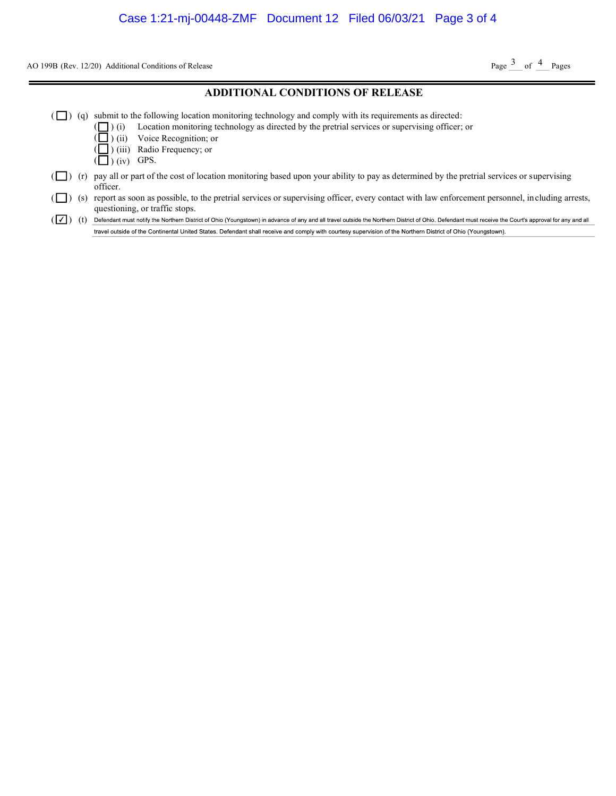AO 199B (Rev. 12/20) Additional Conditions of Release

Page  $3$  of  $4$  Pages

#### ADDITIONAL CONDITIONS OF RELEASE

- $(\Box)$  (q) submit to the following location monitoring technology and comply with its requirements as directed:
	- ( ) (i) Location monitoring technology as directed by the pretrial services or supervising officer; or
		- ) (ii) Voice Recognition; or
		- ) (iii) Radio Frequency; or
	- $\left(\Box\right)$  (iv) GPS.

( (

- $(\Box)$  (r) pay all or part of the cost of location monitoring based upon your ability to pay as determined by the pretrial services or supervising officer.
- ( $\Box$ ) (s) report as soon as possible, to the pretrial services or supervising officer, every contact with law enforcement personnel, including arrests, questioning, or traffic stops.

( ) (t) Defendant must notify the Northern District of Ohio (Youngstown) in advance of any and all travel outside the Northern District of Ohio. Defendant must receive the Court's approval for any and all travel outside of the Continental United States. Defendant shall receive and comply with courtesy supervision of the Northern District of Ohio (Youngstown).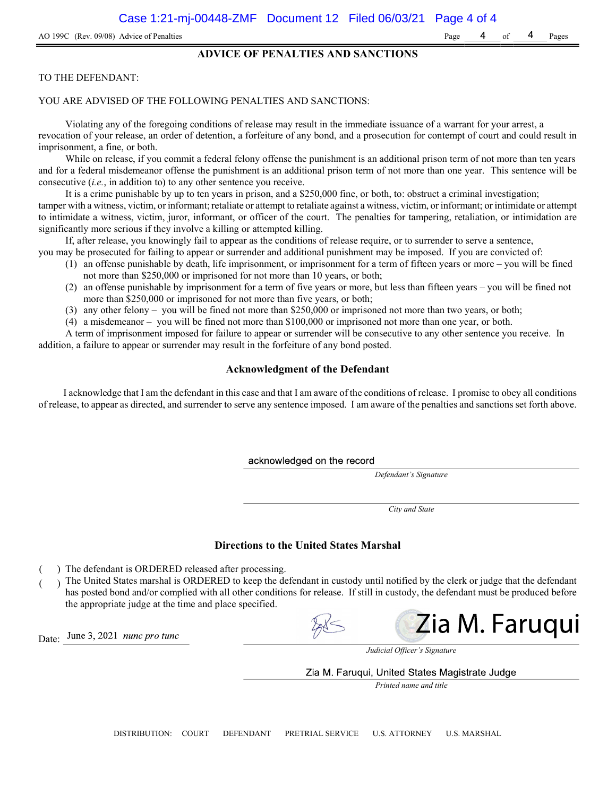#### ADVICE OF PENALTIES AND SANCTIONS

#### TO THE DEFENDANT:

#### YOU ARE ADVISED OF THE FOLLOWING PENALTIES AND SANCTIONS:

Violating any of the foregoing conditions of release may result in the immediate issuance of a warrant for your arrest, a revocation of your release, an order of detention, a forfeiture of any bond, and a prosecution for contempt of court and could result in imprisonment, a fine, or both.

While on release, if you commit a federal felony offense the punishment is an additional prison term of not more than ten years and for a federal misdemeanor offense the punishment is an additional prison term of not more than one year. This sentence will be consecutive (i.e., in addition to) to any other sentence you receive.

It is a crime punishable by up to ten years in prison, and a \$250,000 fine, or both, to: obstruct a criminal investigation; tamper with a witness, victim, or informant; retaliate or attempt to retaliate against a witness, victim, or informant; or intimidate or attempt to intimidate a witness, victim, juror, informant, or officer of the court. The penalties for tampering, retaliation, or intimidation are significantly more serious if they involve a killing or attempted killing.

If, after release, you knowingly fail to appear as the conditions of release require, or to surrender to serve a sentence,

- you may be prosecuted for failing to appear or surrender and additional punishment may be imposed. If you are convicted of: (1) an offense punishable by death, life imprisonment, or imprisonment for a term of fifteen years or more – you will be fined
	- not more than \$250,000 or imprisoned for not more than 10 years, or both;
	- (2) an offense punishable by imprisonment for a term of five years or more, but less than fifteen years you will be fined not more than \$250,000 or imprisoned for not more than five years, or both;
	- (3) any other felony you will be fined not more than \$250,000 or imprisoned not more than two years, or both;
	- (4) a misdemeanor you will be fined not more than \$100,000 or imprisoned not more than one year, or both.

A term of imprisonment imposed for failure to appear or surrender will be consecutive to any other sentence you receive. In addition, a failure to appear or surrender may result in the forfeiture of any bond posted.

#### Acknowledgment of the Defendant

I acknowledge that I am the defendant in this case and that I am aware of the conditions of release. I promise to obey all conditions of release, to appear as directed, and surrender to serve any sentence imposed. I am aware of the penalties and sanctions set forth above.

acknowledged on the record

Defendant's Signature

City and State

#### Directions to the United States Marshal

) The defendant is ORDERED released after processing.

) The United States marshal is ORDERED to keep the defendant in custody until notified by the clerk or judge that the defendant has posted bond and/or complied with all other conditions for release. If still in custody, the defendant must be produced before the appropriate judge at the time and place specified.

Zia M. Faruqui

June 3, 2021 *nunc pro tunc* Date:

Judicial Officer's Signature

Zia M. Faruqui, United States Magistrate Judge

Printed name and title

DISTRIBUTION: COURT DEFENDANT PRETRIAL SERVICE U.S. ATTORNEY U.S. MARSHAL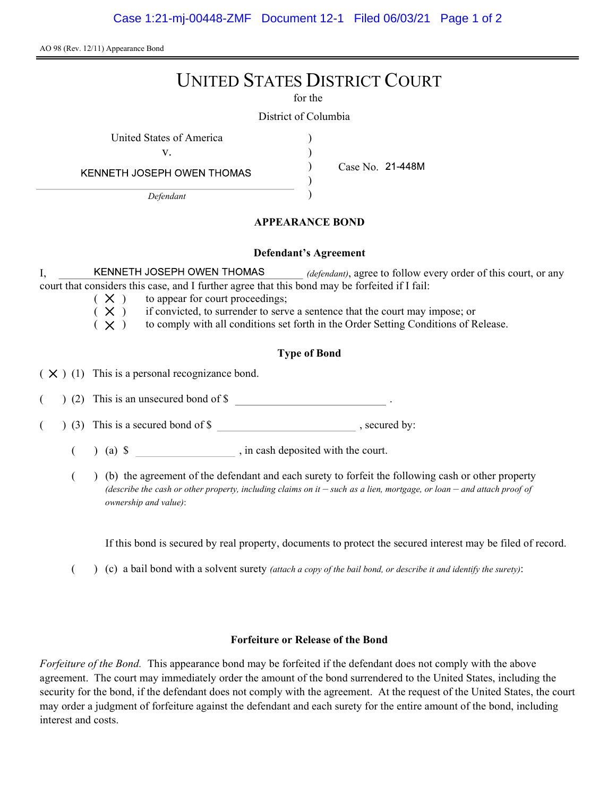AO 98 (Rev. 12/11) Appearance Bond

# UNITED STATES DISTRICT COURT

for the

) ) ) )

District of Columbia

United States of America (1999)

v.

Case No.

KENNETH JOSEPH OWEN THOMAS

Defendant

## APPEARANCE BOND

#### Defendant's Agreement

I, KENNETH JOSEPH OWEN THOMAS *(defendant)*, agree to follow every order of this court, or any court that considers this case, and I further agree that this bond may be forfeited if I fail:

- $(X)$  to appear for court proceedings;
- $(X)$  if convicted, to surrender to serve a sentence that the court may impose; or
- $(X)$  to comply with all conditions set forth in the Order Setting Conditions of Release.

## Type of Bond

 $(X)$  (1) This is a personal recognizance bond.

(2) This is an unsecured bond of \$

 $($   $)$  (3) This is a secured bond of \$, secured by:

 $($  ) (a)  $\$  , in cash deposited with the court.

( ) (b) the agreement of the defendant and each surety to forfeit the following cash or other property (describe the cash or other property, including claims on it  $-$  such as a lien, mortgage, or loan  $-$  and attach proof of ownership and value):

If this bond is secured by real property, documents to protect the secured interest may be filed of record.

( $\)$  (c) a bail bond with a solvent surety *(attach a copy of the bail bond, or describe it and identify the surety)*:

## Forfeiture or Release of the Bond

Forfeiture of the Bond. This appearance bond may be forfeited if the defendant does not comply with the above agreement. The court may immediately order the amount of the bond surrendered to the United States, including the security for the bond, if the defendant does not comply with the agreement. At the request of the United States, the court may order a judgment of forfeiture against the defendant and each surety for the entire amount of the bond, including interest and costs.